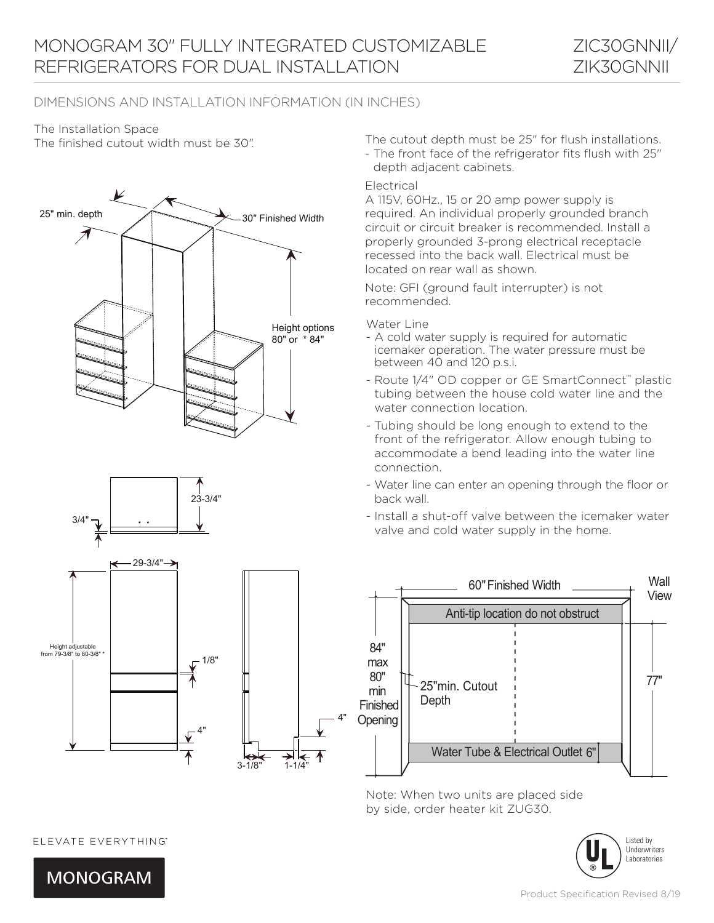# The Installation Space







The finished cutout width must be 30". The cutout depth must be 25" for flush installations.

- The front face of the refrigerator fits flush with 25" depth adjacent cabinets.

#### Electrical

A 115V, 60Hz., 15 or 20 amp power supply is required. An individual properly grounded branch circuit or circuit breaker is recommended. Install a properly grounded 3-prong electrical receptacle recessed into the back wall. Electrical must be located on rear wall as shown.

Note: GFI (ground fault interrupter) is not recommended.

Water Line

- A cold water supply is required for automatic icemaker operation. The water pressure must be between 40 and 120 p.s.i.
- Route 1/4" OD copper or GE SmartConnect™ plastic tubing between the house cold water line and the water connection location.
- Tubing should be long enough to extend to the front of the refrigerator. Allow enough tubing to accommodate a bend leading into the water line connection.
- Water line can enter an opening through the floor or back wall.
- Install a shut-off valve between the icemaker water valve and cold water supply in the home.



Note: When two units are placed side by side, order heater kit ZUG30.



### ELEVATE EVERYTHING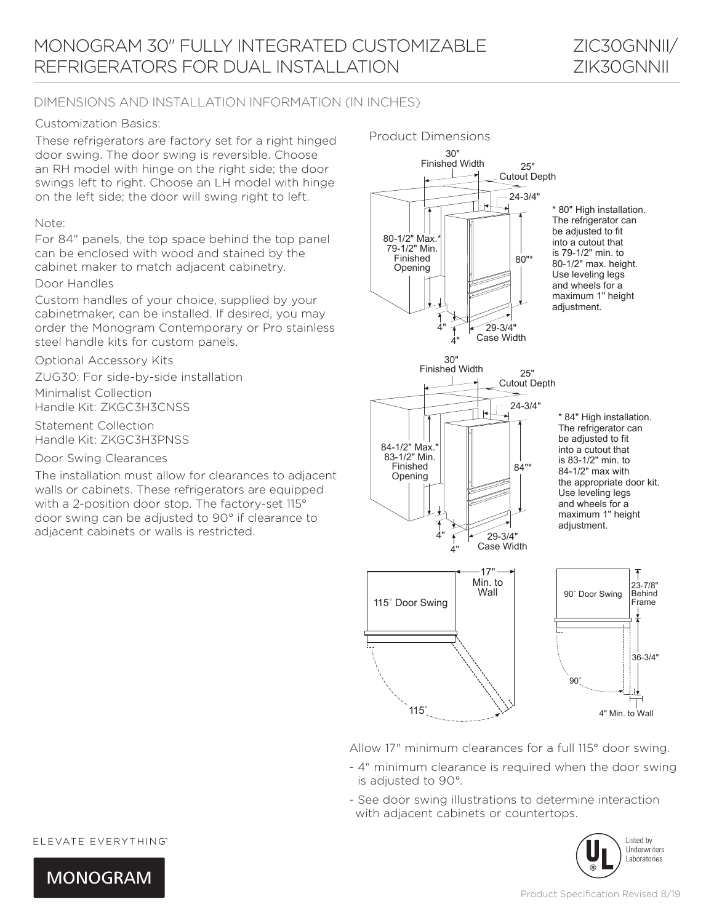

#### Customization Basics:

These refrigerators are factory set for a right hinged door swing. The door swing is reversible. Choose an RH model with hinge on the right side; the door swings left to right. Choose an LH model with hinge on the left side; the door will swing right to left.

#### Note:

For 84" panels, the top space behind the top panel can be enclosed with wood and stained by the cabinet maker to match adjacent cabinetry.

#### Door Handles

Custom handles of your choice, supplied by your cabinetmaker, can be installed. If desired, you may order the Monogram Contemporary or Pro stainless steel handle kits for custom panels.

Optional Accessory Kits

ZUG30: For side-by-side installation Minimalist Collection Handle Kit: ZKGC3H3CNSS motanatio  $\frac{1}{2}$ 

Statement Collection Handle Kit: ZKGC3H3PNSS

Door Swing Clearances

**The installation must allow for clearances to adjacent** The installation mast allow for clearances to adjace. with a 2-position door stop. The factory-set 115° door swing can be adjusted to 90° if clearance to adjacent cabinets or walls is restricted.  $m$ s are equip stallation must allow for o

#### Product Dimensions



Allow 17" minimum clearances for a full 115° door swing.

- 4" minimum clearance is required when the door swing is adjusted to 90°.
- See door swing illustrations to determine interaction with adjacent cabinets or countertops.



ELEVATE EVERYTHING

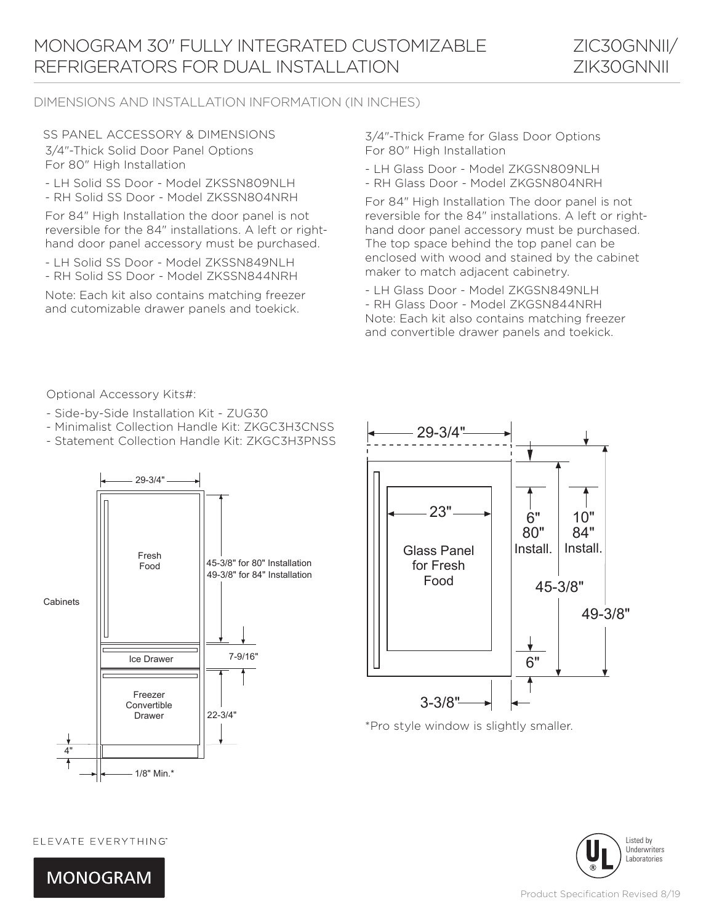ZIC30GNNII/ ZIK30GNNII

## DIMENSIONS AND INSTALLATION INFORMATION (IN INCHES)

SS PANEL ACCESSORY & DIMENSIONS 3/4"-Thick Solid Door Panel Options For 80" High Installation

- LH Solid SS Door Model ZKSSN809NLH
- RH Solid SS Door Model ZKSSN804NRH

For 84" High Installation the door panel is not reversible for the 84" installations. A left or righthand door panel accessory must be purchased.

- LH Solid SS Door Model ZKSSN849NLH
- RH Solid SS Door Model ZKSSN844NRH

Note: Each kit also contains matching freezer and cutomizable drawer panels and toekick.

3/4"-Thick Frame for Glass Door Options For 80" High Installation

- LH Glass Door Model ZKGSN809NLH
- RH Glass Door Model ZKGSN804NRH

For 84" High Installation The door panel is not reversible for the 84" installations. A left or righthand door panel accessory must be purchased. The top space behind the top panel can be enclosed with wood and stained by the cabinet maker to match adjacent cabinetry.

- LH Glass Door - Model ZKGSN849NLH

- RH Glass Door - Model ZKGSN844NRH Note: Each kit also contains matching freezer and convertible drawer panels and toekick.

Optional Accessory Kits#:

- Side-by-Side Installation Kit ZUG30
- Minimalist Collection Handle Kit: ZKGC3H3CNSS
- Statement Collection Handle Kit: ZKGC3H3PNSS





\*Pro style window is slightly smaller.



ELEVATE EVERYTHING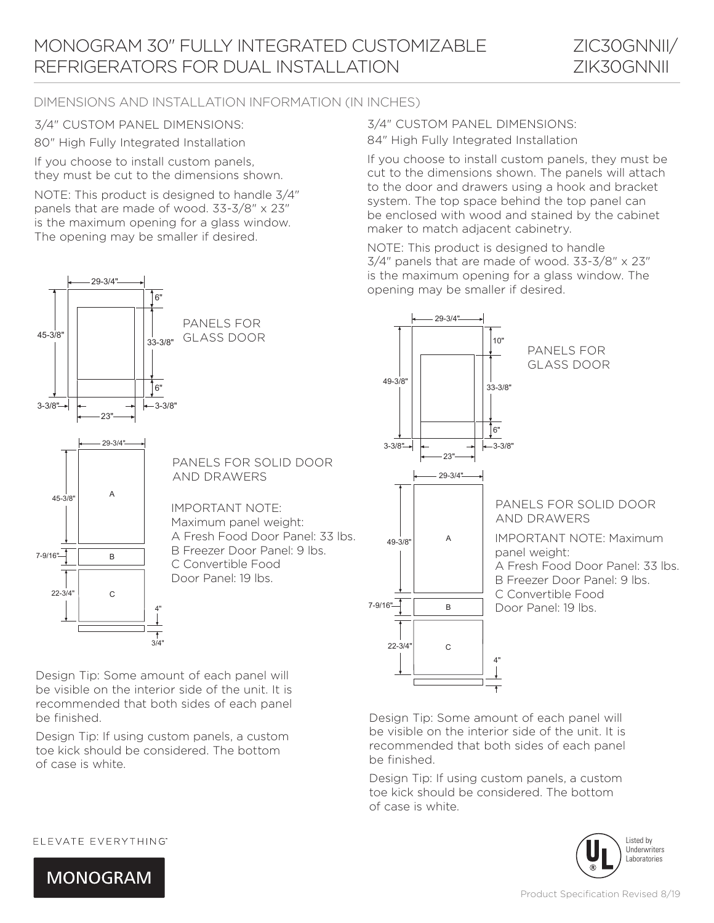80" High Fully Integrated Installation

29-3/4"

If you choose to install custom panels, they must be cut to the dimensions shown.

NOTE: This product is designed to handle 3/4" panels that are made of wood. 33-3/8" x 23" is the maximum opening for a glass window. The opening may be smaller if desired.



If you choose to install custom panels, they must be cut to the dimensions shown. The panels will attach to the door and drawers using a hook and bracket system. The top space behind the top panel can be enclosed with wood and stained by the cabinet maker to match adjacent cabinetry.

NOTE: This product is designed to handle  $3/4$ " panels that are made of wood.  $33-3/8$ " x  $23$ " is the maximum opening for a glass window. The opening may be smaller if desired.



Design Tip: Some amount of each panel will be visible on the interior side of the unit. It is recommended that both sides of each panel be finished.

Design Tip: If using custom panels, a custom toe kick should be considered. The bottom of case is white.



Design Tip: Some amount of each panel will be visible on the interior side of the unit. It is recommended that both sides of each panel be finished.

Design Tip: If using custom panels, a custom toe kick should be considered. The bottom of case is white.



### ELEVATE EVERYTHING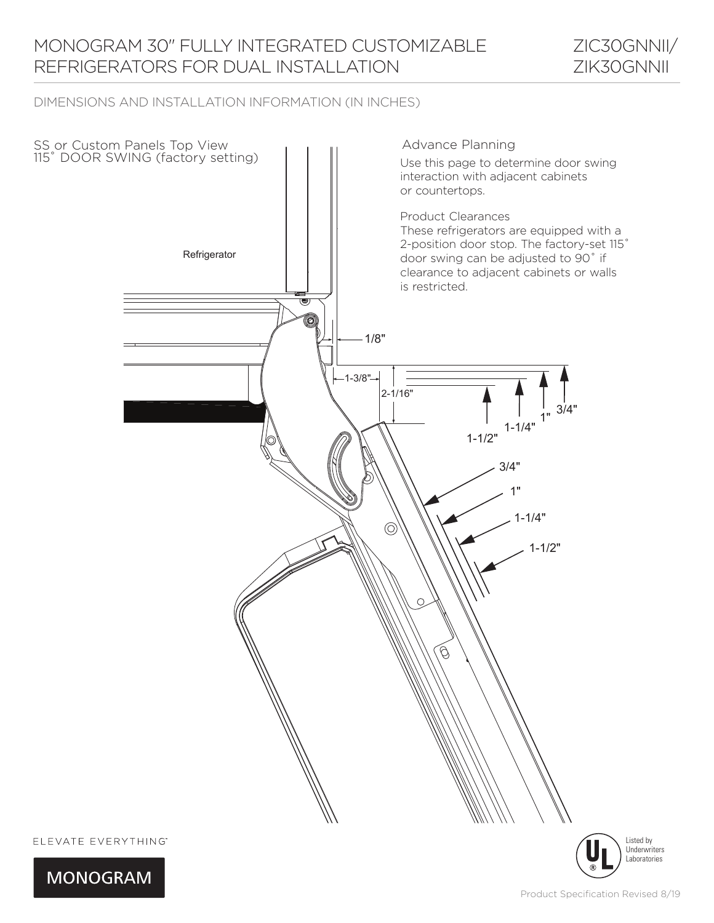# MONOGRAM 30" FULLY INTEGRATED CUSTOMIZABLE REFRIGERATORS FOR DUAL INSTALLATION

ZIC30GNNII/ ZIK30GNNII

## DIMENSIONS AND INSTALLATION INFORMATION (IN INCHES)



Listed by Underwriters Laboratories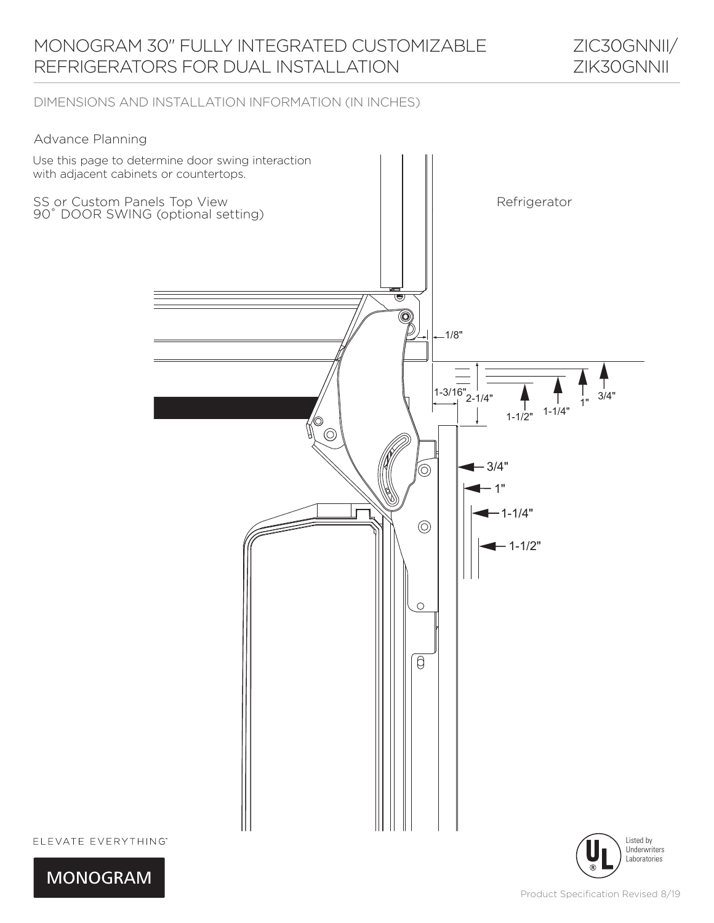### Advance Planning





Laboratories